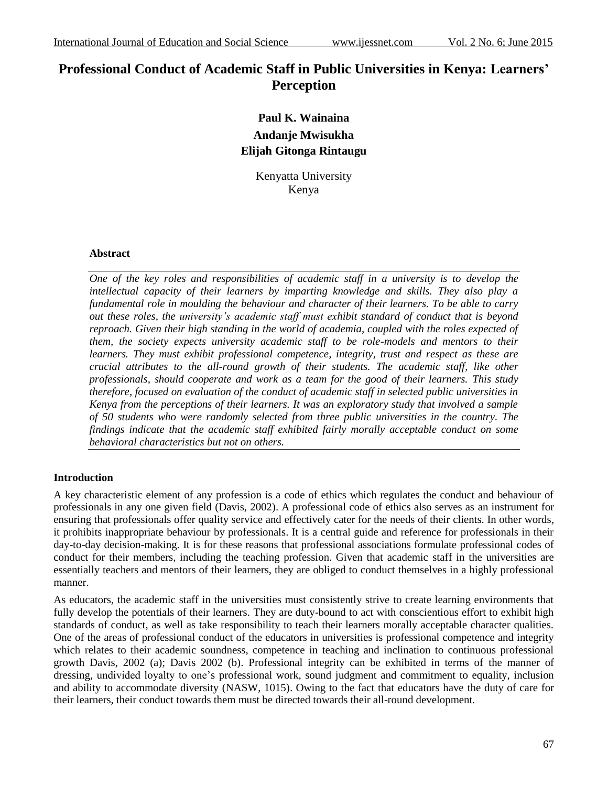# **Professional Conduct of Academic Staff in Public Universities in Kenya: Learners' Perception**

## **Paul K. Wainaina Andanje Mwisukha Elijah Gitonga Rintaugu**

Kenyatta University Kenya

## **Abstract**

*One of the key roles and responsibilities of academic staff in a university is to develop the intellectual capacity of their learners by imparting knowledge and skills. They also play a fundamental role in moulding the behaviour and character of their learners. To be able to carry out these roles, the university's academic staff must exhibit standard of conduct that is beyond reproach. Given their high standing in the world of academia, coupled with the roles expected of them, the society expects university academic staff to be role-models and mentors to their learners. They must exhibit professional competence, integrity, trust and respect as these are crucial attributes to the all-round growth of their students. The academic staff, like other professionals, should cooperate and work as a team for the good of their learners. This study therefore, focused on evaluation of the conduct of academic staff in selected public universities in Kenya from the perceptions of their learners. It was an exploratory study that involved a sample of 50 students who were randomly selected from three public universities in the country. The findings indicate that the academic staff exhibited fairly morally acceptable conduct on some behavioral characteristics but not on others.*

## **Introduction**

A key characteristic element of any profession is a code of ethics which regulates the conduct and behaviour of professionals in any one given field (Davis, 2002). A professional code of ethics also serves as an instrument for ensuring that professionals offer quality service and effectively cater for the needs of their clients. In other words, it prohibits inappropriate behaviour by professionals. It is a central guide and reference for professionals in their day-to-day decision-making. It is for these reasons that professional associations formulate professional codes of conduct for their members, including the teaching profession. Given that academic staff in the universities are essentially teachers and mentors of their learners, they are obliged to conduct themselves in a highly professional manner.

As educators, the academic staff in the universities must consistently strive to create learning environments that fully develop the potentials of their learners. They are duty-bound to act with conscientious effort to exhibit high standards of conduct, as well as take responsibility to teach their learners morally acceptable character qualities. One of the areas of professional conduct of the educators in universities is professional competence and integrity which relates to their academic soundness, competence in teaching and inclination to continuous professional growth Davis, 2002 (a); Davis 2002 (b). Professional integrity can be exhibited in terms of the manner of dressing, undivided loyalty to one's professional work, sound judgment and commitment to equality, inclusion and ability to accommodate diversity (NASW, 1015). Owing to the fact that educators have the duty of care for their learners, their conduct towards them must be directed towards their all-round development.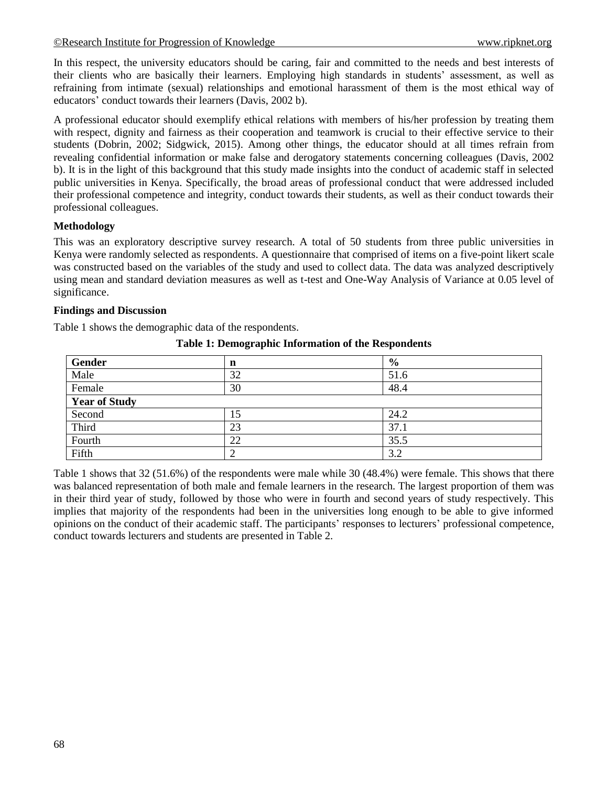In this respect, the university educators should be caring, fair and committed to the needs and best interests of their clients who are basically their learners. Employing high standards in students' assessment, as well as refraining from intimate (sexual) relationships and emotional harassment of them is the most ethical way of educators' conduct towards their learners (Davis, 2002 b).

A professional educator should exemplify ethical relations with members of his/her profession by treating them with respect, dignity and fairness as their cooperation and teamwork is crucial to their effective service to their students (Dobrin, 2002; Sidgwick, 2015). Among other things, the educator should at all times refrain from revealing confidential information or make false and derogatory statements concerning colleagues (Davis, 2002 b). It is in the light of this background that this study made insights into the conduct of academic staff in selected public universities in Kenya. Specifically, the broad areas of professional conduct that were addressed included their professional competence and integrity, conduct towards their students, as well as their conduct towards their professional colleagues.

## **Methodology**

This was an exploratory descriptive survey research. A total of 50 students from three public universities in Kenya were randomly selected as respondents. A questionnaire that comprised of items on a five-point likert scale was constructed based on the variables of the study and used to collect data. The data was analyzed descriptively using mean and standard deviation measures as well as t-test and One-Way Analysis of Variance at 0.05 level of significance.

## **Findings and Discussion**

Table 1 shows the demographic data of the respondents.

| Gender               | n  | $\frac{6}{9}$ |  |  |
|----------------------|----|---------------|--|--|
| Male                 | 32 | 51.6          |  |  |
| Female               | 30 | 48.4          |  |  |
| <b>Year of Study</b> |    |               |  |  |
| Second               | 15 | 24.2          |  |  |
| Third                | 23 | 37.1          |  |  |
| Fourth               | 22 | 35.5          |  |  |
| Fifth                | ↑  | 3.2           |  |  |

**Table 1: Demographic Information of the Respondents**

Table 1 shows that 32 (51.6%) of the respondents were male while 30 (48.4%) were female. This shows that there was balanced representation of both male and female learners in the research. The largest proportion of them was in their third year of study, followed by those who were in fourth and second years of study respectively. This implies that majority of the respondents had been in the universities long enough to be able to give informed opinions on the conduct of their academic staff. The participants' responses to lecturers' professional competence, conduct towards lecturers and students are presented in Table 2.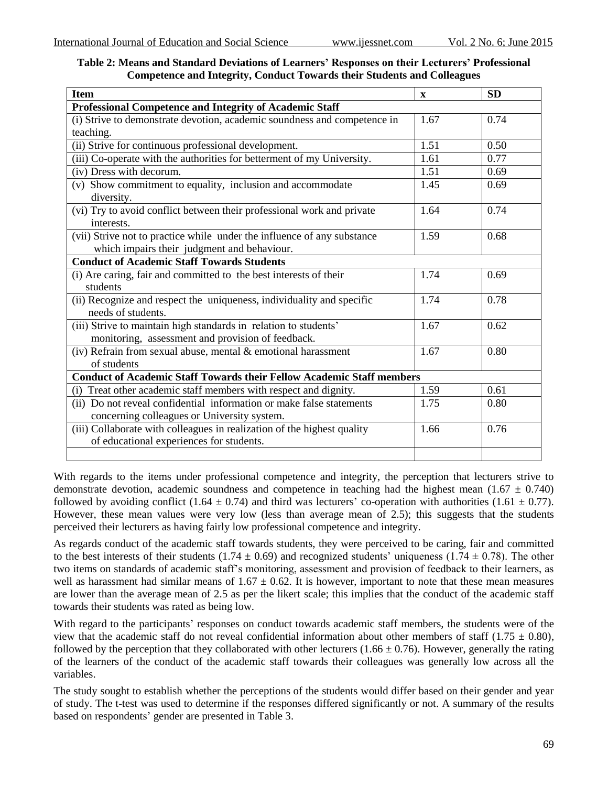| Table 2: Means and Standard Deviations of Learners' Responses on their Lecturers' Professional |  |
|------------------------------------------------------------------------------------------------|--|
| <b>Competence and Integrity, Conduct Towards their Students and Colleagues</b>                 |  |

| <b>Item</b>                                                                                                            | $\mathbf X$ | <b>SD</b> |  |  |  |  |
|------------------------------------------------------------------------------------------------------------------------|-------------|-----------|--|--|--|--|
| <b>Professional Competence and Integrity of Academic Staff</b>                                                         |             |           |  |  |  |  |
| (i) Strive to demonstrate devotion, academic soundness and competence in                                               | 1.67        | 0.74      |  |  |  |  |
| teaching.                                                                                                              |             |           |  |  |  |  |
| (ii) Strive for continuous professional development.                                                                   | 1.51        | 0.50      |  |  |  |  |
| (iii) Co-operate with the authorities for betterment of my University.                                                 | 1.61        | 0.77      |  |  |  |  |
| (iv) Dress with decorum.                                                                                               | 1.51        | 0.69      |  |  |  |  |
| (v) Show commitment to equality, inclusion and accommodate<br>diversity.                                               | 1.45        | 0.69      |  |  |  |  |
| (vi) Try to avoid conflict between their professional work and private<br>interests.                                   | 1.64        | 0.74      |  |  |  |  |
| (vii) Strive not to practice while under the influence of any substance<br>which impairs their judgment and behaviour. | 1.59        | 0.68      |  |  |  |  |
| <b>Conduct of Academic Staff Towards Students</b>                                                                      |             |           |  |  |  |  |
| (i) Are caring, fair and committed to the best interests of their<br>students                                          | 1.74        | 0.69      |  |  |  |  |
| (ii) Recognize and respect the uniqueness, individuality and specific<br>needs of students.                            | 1.74        | 0.78      |  |  |  |  |
| (iii) Strive to maintain high standards in relation to students'<br>monitoring, assessment and provision of feedback.  | 1.67        | 0.62      |  |  |  |  |
| (iv) Refrain from sexual abuse, mental & emotional harassment<br>of students                                           | 1.67        | 0.80      |  |  |  |  |
| <b>Conduct of Academic Staff Towards their Fellow Academic Staff members</b>                                           |             |           |  |  |  |  |
| (i) Treat other academic staff members with respect and dignity.                                                       | 1.59        | 0.61      |  |  |  |  |
| (ii) Do not reveal confidential information or make false statements<br>concerning colleagues or University system.    | 1.75        | 0.80      |  |  |  |  |
| (iii) Collaborate with colleagues in realization of the highest quality<br>of educational experiences for students.    | 1.66        | 0.76      |  |  |  |  |
|                                                                                                                        |             |           |  |  |  |  |

With regards to the items under professional competence and integrity, the perception that lecturers strive to demonstrate devotion, academic soundness and competence in teaching had the highest mean (1.67  $\pm$  0.740) followed by avoiding conflict (1.64  $\pm$  0.74) and third was lecturers' co-operation with authorities (1.61  $\pm$  0.77). However, these mean values were very low (less than average mean of 2.5); this suggests that the students perceived their lecturers as having fairly low professional competence and integrity.

As regards conduct of the academic staff towards students, they were perceived to be caring, fair and committed to the best interests of their students (1.74  $\pm$  0.69) and recognized students' uniqueness (1.74  $\pm$  0.78). The other two items on standards of academic staff's monitoring, assessment and provision of feedback to their learners, as well as harassment had similar means of  $1.67 \pm 0.62$ . It is however, important to note that these mean measures are lower than the average mean of 2.5 as per the likert scale; this implies that the conduct of the academic staff towards their students was rated as being low.

With regard to the participants' responses on conduct towards academic staff members, the students were of the view that the academic staff do not reveal confidential information about other members of staff (1.75  $\pm$  0.80), followed by the perception that they collaborated with other lecturers  $(1.66 \pm 0.76)$ . However, generally the rating of the learners of the conduct of the academic staff towards their colleagues was generally low across all the variables.

The study sought to establish whether the perceptions of the students would differ based on their gender and year of study. The t-test was used to determine if the responses differed significantly or not. A summary of the results based on respondents' gender are presented in Table 3.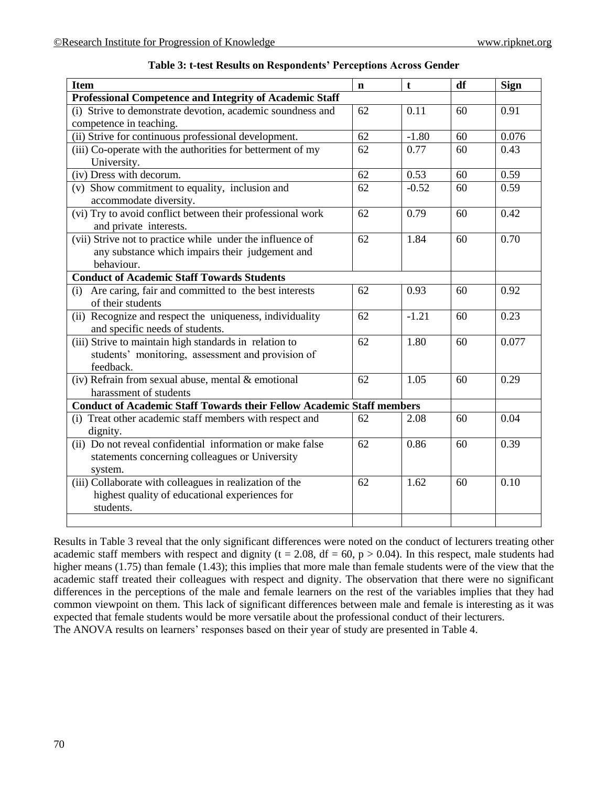| Item                                                                         | $\mathbf n$ | t       | df | Sign  |
|------------------------------------------------------------------------------|-------------|---------|----|-------|
| <b>Professional Competence and Integrity of Academic Staff</b>               |             |         |    |       |
| (i) Strive to demonstrate devotion, academic soundness and                   | 62          | 0.11    | 60 | 0.91  |
| competence in teaching.                                                      |             |         |    |       |
| (ii) Strive for continuous professional development.                         | 62          | $-1.80$ | 60 | 0.076 |
| (iii) Co-operate with the authorities for betterment of my                   | 62          | 0.77    | 60 | 0.43  |
| University.                                                                  |             |         |    |       |
| (iv) Dress with decorum.                                                     | 62          | 0.53    | 60 | 0.59  |
| (v) Show commitment to equality, inclusion and                               | 62          | $-0.52$ | 60 | 0.59  |
| accommodate diversity.                                                       |             |         |    |       |
| (vi) Try to avoid conflict between their professional work                   | 62          | 0.79    | 60 | 0.42  |
| and private interests.                                                       |             |         |    |       |
| (vii) Strive not to practice while under the influence of                    | 62          | 1.84    | 60 | 0.70  |
| any substance which impairs their judgement and                              |             |         |    |       |
| behaviour.                                                                   |             |         |    |       |
| <b>Conduct of Academic Staff Towards Students</b>                            |             |         |    |       |
| (i) Are caring, fair and committed to the best interests                     | 62          | 0.93    | 60 | 0.92  |
| of their students                                                            |             |         |    |       |
| (ii) Recognize and respect the uniqueness, individuality                     | 62          | $-1.21$ | 60 | 0.23  |
| and specific needs of students.                                              |             |         |    |       |
| (iii) Strive to maintain high standards in relation to                       | 62          | 1.80    | 60 | 0.077 |
| students' monitoring, assessment and provision of                            |             |         |    |       |
| feedback.                                                                    |             |         |    |       |
| $\overline{({\rm iv})}$ Refrain from sexual abuse, mental & emotional        | 62          | 1.05    | 60 | 0.29  |
| harassment of students                                                       |             |         |    |       |
| <b>Conduct of Academic Staff Towards their Fellow Academic Staff members</b> |             |         |    |       |
| (i) Treat other academic staff members with respect and                      | 62          | 2.08    | 60 | 0.04  |
| dignity.                                                                     |             |         |    |       |
| (ii) Do not reveal confidential information or make false                    | 62          | 0.86    | 60 | 0.39  |
| statements concerning colleagues or University                               |             |         |    |       |
| system.                                                                      |             |         |    |       |
| (iii) Collaborate with colleagues in realization of the                      | 62          | 1.62    | 60 | 0.10  |
| highest quality of educational experiences for                               |             |         |    |       |
| students.                                                                    |             |         |    |       |
|                                                                              |             |         |    |       |

**Table 3: t-test Results on Respondents' Perceptions Across Gender**

Results in Table 3 reveal that the only significant differences were noted on the conduct of lecturers treating other academic staff members with respect and dignity (t = 2.08, df = 60, p > 0.04). In this respect, male students had higher means (1.75) than female (1.43); this implies that more male than female students were of the view that the academic staff treated their colleagues with respect and dignity. The observation that there were no significant differences in the perceptions of the male and female learners on the rest of the variables implies that they had common viewpoint on them. This lack of significant differences between male and female is interesting as it was expected that female students would be more versatile about the professional conduct of their lecturers. The ANOVA results on learners' responses based on their year of study are presented in Table 4.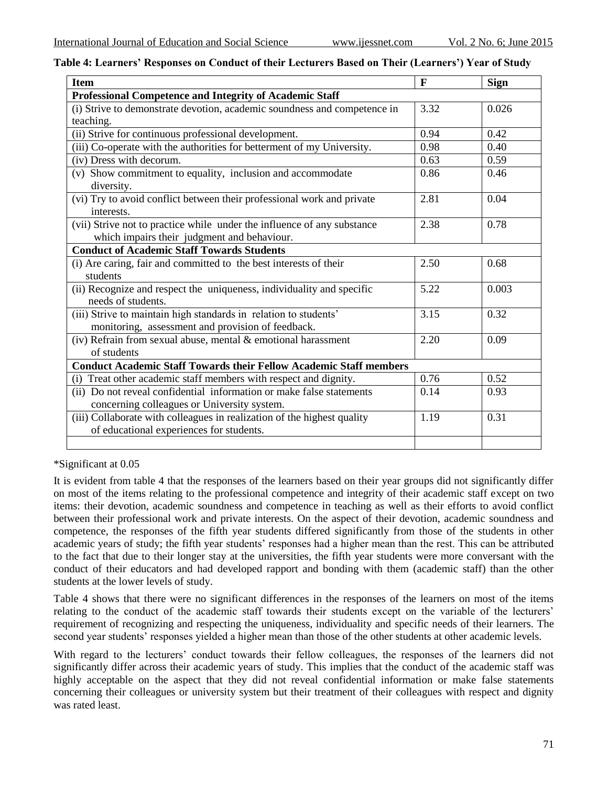|  |  |  | Table 4: Learners' Responses on Conduct of their Lecturers Based on Their (Learners') Year of Study |  |  |  |  |
|--|--|--|-----------------------------------------------------------------------------------------------------|--|--|--|--|
|--|--|--|-----------------------------------------------------------------------------------------------------|--|--|--|--|

| <b>Item</b>                                                               | $\mathbf{F}$ | <b>Sign</b> |  |  |  |
|---------------------------------------------------------------------------|--------------|-------------|--|--|--|
| <b>Professional Competence and Integrity of Academic Staff</b>            |              |             |  |  |  |
| (i) Strive to demonstrate devotion, academic soundness and competence in  | 3.32         | 0.026       |  |  |  |
| teaching.                                                                 |              |             |  |  |  |
| (ii) Strive for continuous professional development.                      | 0.94         | 0.42        |  |  |  |
| (iii) Co-operate with the authorities for betterment of my University.    | 0.98         | 0.40        |  |  |  |
| (iv) Dress with decorum.                                                  | 0.63         | 0.59        |  |  |  |
| (v) Show commitment to equality, inclusion and accommodate                | 0.86         | 0.46        |  |  |  |
| diversity.                                                                |              |             |  |  |  |
| (vi) Try to avoid conflict between their professional work and private    | 2.81         | 0.04        |  |  |  |
| interests.                                                                |              |             |  |  |  |
| (vii) Strive not to practice while under the influence of any substance   | 2.38         | 0.78        |  |  |  |
| which impairs their judgment and behaviour.                               |              |             |  |  |  |
| <b>Conduct of Academic Staff Towards Students</b>                         |              |             |  |  |  |
| (i) Are caring, fair and committed to the best interests of their         | 2.50         | 0.68        |  |  |  |
| students                                                                  |              |             |  |  |  |
| (ii) Recognize and respect the uniqueness, individuality and specific     | 5.22         | 0.003       |  |  |  |
| needs of students.                                                        |              |             |  |  |  |
| (iii) Strive to maintain high standards in relation to students'          | 3.15         | 0.32        |  |  |  |
| monitoring, assessment and provision of feedback.                         |              |             |  |  |  |
| (iv) Refrain from sexual abuse, mental & emotional harassment             | 2.20         | 0.09        |  |  |  |
| of students                                                               |              |             |  |  |  |
| <b>Conduct Academic Staff Towards their Fellow Academic Staff members</b> |              |             |  |  |  |
| (i) Treat other academic staff members with respect and dignity.          | 0.76         | 0.52        |  |  |  |
| (ii) Do not reveal confidential information or make false statements      | 0.14         | 0.93        |  |  |  |
| concerning colleagues or University system.                               |              |             |  |  |  |
| (iii) Collaborate with colleagues in realization of the highest quality   | 1.19         | 0.31        |  |  |  |
| of educational experiences for students.                                  |              |             |  |  |  |
|                                                                           |              |             |  |  |  |

\*Significant at 0.05

It is evident from table 4 that the responses of the learners based on their year groups did not significantly differ on most of the items relating to the professional competence and integrity of their academic staff except on two items: their devotion, academic soundness and competence in teaching as well as their efforts to avoid conflict between their professional work and private interests. On the aspect of their devotion, academic soundness and competence, the responses of the fifth year students differed significantly from those of the students in other academic years of study; the fifth year students' responses had a higher mean than the rest. This can be attributed to the fact that due to their longer stay at the universities, the fifth year students were more conversant with the conduct of their educators and had developed rapport and bonding with them (academic staff) than the other students at the lower levels of study.

Table 4 shows that there were no significant differences in the responses of the learners on most of the items relating to the conduct of the academic staff towards their students except on the variable of the lecturers' requirement of recognizing and respecting the uniqueness, individuality and specific needs of their learners. The second year students' responses yielded a higher mean than those of the other students at other academic levels.

With regard to the lecturers' conduct towards their fellow colleagues, the responses of the learners did not significantly differ across their academic years of study. This implies that the conduct of the academic staff was highly acceptable on the aspect that they did not reveal confidential information or make false statements concerning their colleagues or university system but their treatment of their colleagues with respect and dignity was rated least.